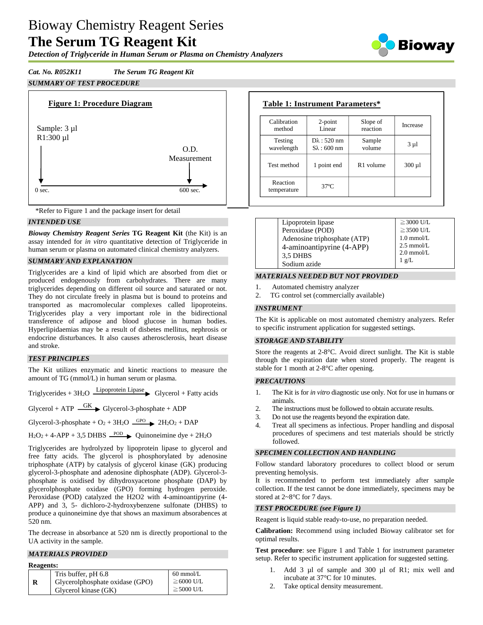# Bioway Chemistry Reagent Series **The Serum TG Reagent Kit**

*Detection of Triglyceride in Human Serum or Plasma on Chemistry Analyzers*



## *Cat. No. R052K11 The Serum TG Reagent Kit*

## *SUMMARY OF TEST PROCEDURE*





## *INTENDED USE*

*Bioway Chemistry Reagent Series* **TG Reagent Kit** (the Kit) is an assay intended for *in vitro* quantitative detection of Triglyceride in human serum or plasma on automated clinical chemistry analyzers.

## *SUMMARY AND EXPLANATION*

Triglycerides are a kind of lipid which are absorbed from diet or produced endogenously from carbohydrates. There are many triglycerides depending on different oil source and saturated or not. They do not circulate freely in plasma but is bound to proteins and transported as macromolecular complexes called lipoproteins. Triglycerides play a very important role in the bidirectional transference of adipose and blood glucose in human bodies. Hyperlipidaemias may be a result of disbetes mellitus, nephrosis or endocrine disturbances. It also causes atherosclerosis, heart disease and stroke.

## *TEST PRINCIPLES*

The Kit utilizes enzymatic and kinetic reactions to measure the amount of TG (mmol/L) in human serum or plasma.

Triglycerides +  $3H_2O$  Lipoprotein Lipase<br>
Glycerol + Fatty acids

Glycerol + ATP  $\frac{GK}{g}$  Glycerol-3-phosphate + ADP

Glycerol-3-phosphate +  $O_2$  + 3H<sub>2</sub>O  $\frac{GPO}{\rightarrow}$  2H<sub>2</sub>O<sub>2</sub> + DAP

 $H_2O_2 + 4-APP + 3.5 DHBS \xrightarrow{POD}$  Quinoneimine dye + 2H<sub>2</sub>O

Triglycerides are hydrolyzed by lipoprotein lipase to glycerol and free fatty acids. The glycerol is phosphorylated by adenosine triphosphate (ATP) by catalysis of glycerol kinase (GK) producing glycerol-3-phosphate and adenosine diphosphate (ADP). Glycerol-3 phosphate is oxidised by dihydroxyacetone phosphate (DAP) by glycerolphosphate oxidase (GPO) forming hydrogen peroxide. Peroxidase (POD) catalyzed the H2O2 with 4-aminoantipyrine (4- APP) and 3, 5- dichloro-2-hydroxybenzene sulfonate (DHBS) to produce a quinoneimine dye that shows an maximum absorabences at 520 nm.

The decrease in absorbance at 520 nm is directly proportional to the UA activity in the sample.

## *MATERIALS PROVIDED*

#### **Reagents:**

|   | Tris buffer, pH 6.8             | $60 \text{ mmol/L}$ |
|---|---------------------------------|---------------------|
| R | Glycerolphosphate oxidase (GPO) | $\geq 6000$ U/L     |
|   | Glycerol kinase (GK)            | $\geq$ 5000 U/L     |

| Calibration             | $2$ -point             | Slope of              | Increase    |
|-------------------------|------------------------|-----------------------|-------------|
| method                  | Linear                 | reaction              |             |
| Testing                 | $D\lambda$ : 520 nm    | Sample                | 3 µ1        |
| wavelength              | $S_{\lambda}$ : 600 nm | volume                |             |
| Test method             | 1 point end            | R <sub>1</sub> volume | $300 \mu l$ |
| Reaction<br>temperature | $37^{\circ}$ C         |                       |             |



#### *MATERIALS NEEDED BUT NOT PROVIDED*

- 1. Automated chemistry analyzer
- 2. TG control set (commercially available)

#### *INSTRUMENT*

The Kit is applicable on most automated chemistry analyzers. Refer to specific instrument application for suggested settings.

#### *STORAGE AND STABILITY*

Store the reagents at 2-8°C. Avoid direct sunlight. The Kit is stable through the expiration date when stored properly. The reagent is stable for 1 month at 2-8°C after opening.

## *PRECAUTIONS*

- 1. The Kit is for *in vitro* diagnostic use only. Not for use in humans or animals.
- 2. The instructions must be followed to obtain accurate results.
- 3. Do not use the reagents beyond the expiration date.
- 4. Treat all specimens as infectious. Proper handling and disposal procedures of specimens and test materials should be strictly followed.

## *SPECIMEN COLLECTION AND HANDLING*

Follow standard laboratory procedures to collect blood or serum preventing hemolysis.

It is recommended to perform test immediately after sample collection. If the test cannot be done immediately, specimens may be stored at 2~8°C for 7 days.

#### *TEST PROCEDURE (see Figure 1)*

Reagent is liquid stable ready-to-use, no preparation needed.

**Calibration:** Recommend using included Bioway calibrator set for optimal results.

**Test procedure**: see Figure 1 and Table 1 for instrument parameter setup. Refer to specific instrument application for suggested setting.

- 1. Add 3 µl of sample and 300 µl of R1; mix well and incubate at 37°C for 10 minutes.
- 2. Take optical density measurement.